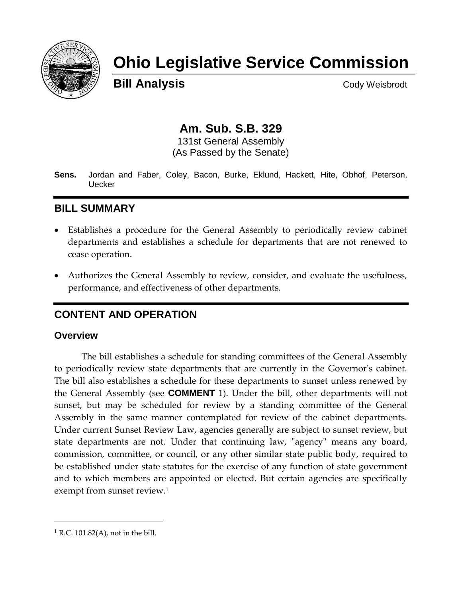

# **Ohio Legislative Service Commission**

**Bill Analysis** Cody Weisbrodt

## **Am. Sub. S.B. 329**

131st General Assembly (As Passed by the Senate)

**Sens.** Jordan and Faber, Coley, Bacon, Burke, Eklund, Hackett, Hite, Obhof, Peterson, Uecker

## **BILL SUMMARY**

- Establishes a procedure for the General Assembly to periodically review cabinet departments and establishes a schedule for departments that are not renewed to cease operation.
- Authorizes the General Assembly to review, consider, and evaluate the usefulness, performance, and effectiveness of other departments.

## **CONTENT AND OPERATION**

#### **Overview**

The bill establishes a schedule for standing committees of the General Assembly to periodically review state departments that are currently in the Governor's cabinet. The bill also establishes a schedule for these departments to sunset unless renewed by the General Assembly (see **COMMENT** 1). Under the bill, other departments will not sunset, but may be scheduled for review by a standing committee of the General Assembly in the same manner contemplated for review of the cabinet departments. Under current Sunset Review Law, agencies generally are subject to sunset review, but state departments are not. Under that continuing law, "agency" means any board, commission, committee, or council, or any other similar state public body, required to be established under state statutes for the exercise of any function of state government and to which members are appointed or elected. But certain agencies are specifically exempt from sunset review. 1

 $<sup>1</sup>$  R.C. 101.82(A), not in the bill.</sup>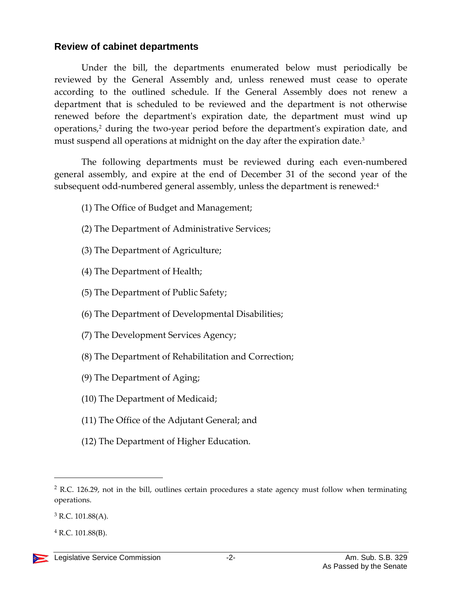#### **Review of cabinet departments**

Under the bill, the departments enumerated below must periodically be reviewed by the General Assembly and, unless renewed must cease to operate according to the outlined schedule. If the General Assembly does not renew a department that is scheduled to be reviewed and the department is not otherwise renewed before the department's expiration date, the department must wind up operations, <sup>2</sup> during the two-year period before the department's expiration date, and must suspend all operations at midnight on the day after the expiration date.<sup>3</sup>

The following departments must be reviewed during each even-numbered general assembly, and expire at the end of December 31 of the second year of the subsequent odd-numbered general assembly, unless the department is renewed:<sup>4</sup>

- (1) The Office of Budget and Management;
- (2) The Department of Administrative Services;
- (3) The Department of Agriculture;
- (4) The Department of Health;
- (5) The Department of Public Safety;
- (6) The Department of Developmental Disabilities;
- (7) The Development Services Agency;
- (8) The Department of Rehabilitation and Correction;
- (9) The Department of Aging;
- (10) The Department of Medicaid;
- (11) The Office of the Adjutant General; and
- (12) The Department of Higher Education.

<sup>&</sup>lt;sup>2</sup> R.C. 126.29, not in the bill, outlines certain procedures a state agency must follow when terminating operations.

 $3$  R.C. 101.88(A).

 $4$  R.C. 101.88(B).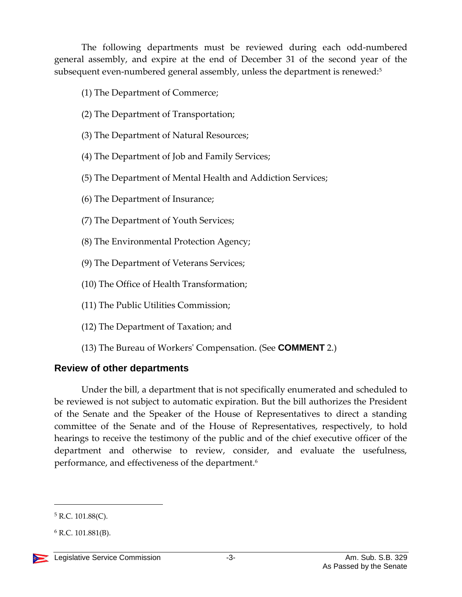The following departments must be reviewed during each odd-numbered general assembly, and expire at the end of December 31 of the second year of the subsequent even-numbered general assembly, unless the department is renewed:<sup>5</sup>

- (1) The Department of Commerce;
- (2) The Department of Transportation;
- (3) The Department of Natural Resources;
- (4) The Department of Job and Family Services;
- (5) The Department of Mental Health and Addiction Services;
- (6) The Department of Insurance;
- (7) The Department of Youth Services;
- (8) The Environmental Protection Agency;
- (9) The Department of Veterans Services;
- (10) The Office of Health Transformation;
- (11) The Public Utilities Commission;
- (12) The Department of Taxation; and
- (13) The Bureau of Workers' Compensation. (See **COMMENT** 2.)

## **Review of other departments**

Under the bill, a department that is not specifically enumerated and scheduled to be reviewed is not subject to automatic expiration. But the bill authorizes the President of the Senate and the Speaker of the House of Representatives to direct a standing committee of the Senate and of the House of Representatives, respectively, to hold hearings to receive the testimony of the public and of the chief executive officer of the department and otherwise to review, consider, and evaluate the usefulness, performance, and effectiveness of the department.<sup>6</sup>

 $5$  R.C. 101.88(C).

 $6$  R.C. 101.881(B).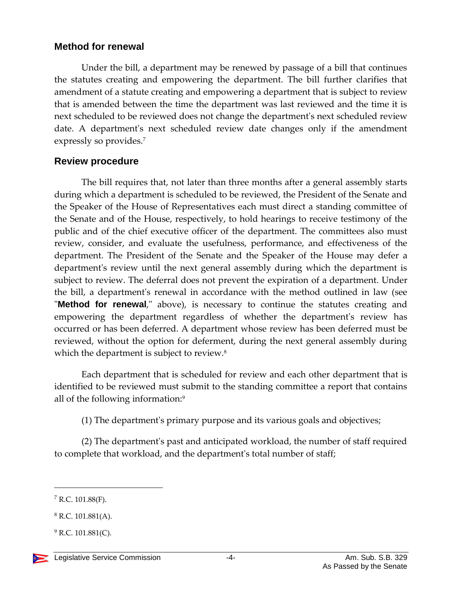#### **Method for renewal**

Under the bill, a department may be renewed by passage of a bill that continues the statutes creating and empowering the department. The bill further clarifies that amendment of a statute creating and empowering a department that is subject to review that is amended between the time the department was last reviewed and the time it is next scheduled to be reviewed does not change the department's next scheduled review date. A department's next scheduled review date changes only if the amendment expressly so provides.<sup>7</sup>

### **Review procedure**

The bill requires that, not later than three months after a general assembly starts during which a department is scheduled to be reviewed, the President of the Senate and the Speaker of the House of Representatives each must direct a standing committee of the Senate and of the House, respectively, to hold hearings to receive testimony of the public and of the chief executive officer of the department. The committees also must review, consider, and evaluate the usefulness, performance, and effectiveness of the department. The President of the Senate and the Speaker of the House may defer a department's review until the next general assembly during which the department is subject to review. The deferral does not prevent the expiration of a department. Under the bill, a department's renewal in accordance with the method outlined in law (see "**Method for renewal**," above), is necessary to continue the statutes creating and empowering the department regardless of whether the department's review has occurred or has been deferred. A department whose review has been deferred must be reviewed, without the option for deferment, during the next general assembly during which the department is subject to review.<sup>8</sup>

Each department that is scheduled for review and each other department that is identified to be reviewed must submit to the standing committee a report that contains all of the following information:<sup>9</sup>

(1) The department's primary purpose and its various goals and objectives;

(2) The department's past and anticipated workload, the number of staff required to complete that workload, and the department's total number of staff;

 $7$  R.C. 101.88(F).

 $8$  R.C. 101.881(A).

 $9$  R.C. 101.881(C).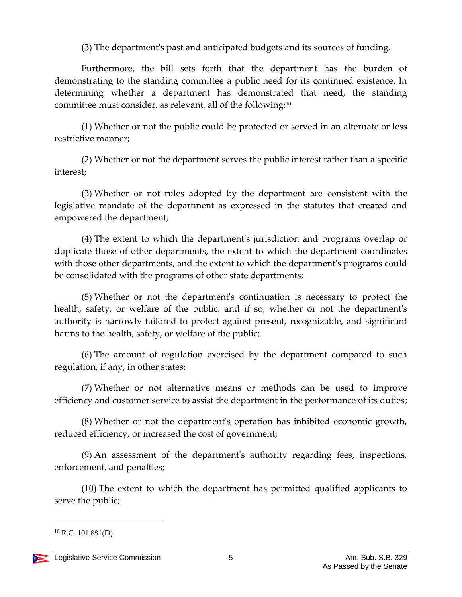(3) The department's past and anticipated budgets and its sources of funding.

Furthermore, the bill sets forth that the department has the burden of demonstrating to the standing committee a public need for its continued existence. In determining whether a department has demonstrated that need, the standing committee must consider, as relevant, all of the following:<sup>10</sup>

(1) Whether or not the public could be protected or served in an alternate or less restrictive manner;

(2) Whether or not the department serves the public interest rather than a specific interest;

(3) Whether or not rules adopted by the department are consistent with the legislative mandate of the department as expressed in the statutes that created and empowered the department;

(4) The extent to which the department's jurisdiction and programs overlap or duplicate those of other departments, the extent to which the department coordinates with those other departments, and the extent to which the department's programs could be consolidated with the programs of other state departments;

(5) Whether or not the department's continuation is necessary to protect the health, safety, or welfare of the public, and if so, whether or not the department's authority is narrowly tailored to protect against present, recognizable, and significant harms to the health, safety, or welfare of the public;

(6) The amount of regulation exercised by the department compared to such regulation, if any, in other states;

(7) Whether or not alternative means or methods can be used to improve efficiency and customer service to assist the department in the performance of its duties;

(8) Whether or not the department's operation has inhibited economic growth, reduced efficiency, or increased the cost of government;

(9) An assessment of the department's authority regarding fees, inspections, enforcement, and penalties;

(10) The extent to which the department has permitted qualified applicants to serve the public;

 $10$  R.C. 101.881(D).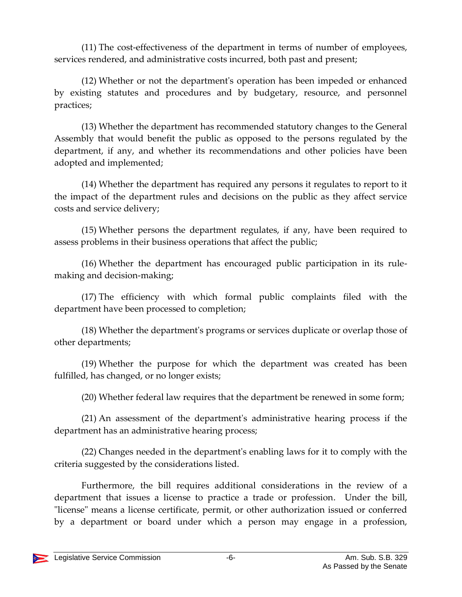(11) The cost-effectiveness of the department in terms of number of employees, services rendered, and administrative costs incurred, both past and present;

(12) Whether or not the department's operation has been impeded or enhanced by existing statutes and procedures and by budgetary, resource, and personnel practices;

(13) Whether the department has recommended statutory changes to the General Assembly that would benefit the public as opposed to the persons regulated by the department, if any, and whether its recommendations and other policies have been adopted and implemented;

(14) Whether the department has required any persons it regulates to report to it the impact of the department rules and decisions on the public as they affect service costs and service delivery;

(15) Whether persons the department regulates, if any, have been required to assess problems in their business operations that affect the public;

(16) Whether the department has encouraged public participation in its rulemaking and decision-making;

(17) The efficiency with which formal public complaints filed with the department have been processed to completion;

(18) Whether the department's programs or services duplicate or overlap those of other departments;

(19) Whether the purpose for which the department was created has been fulfilled, has changed, or no longer exists;

(20) Whether federal law requires that the department be renewed in some form;

(21) An assessment of the department's administrative hearing process if the department has an administrative hearing process;

(22) Changes needed in the department's enabling laws for it to comply with the criteria suggested by the considerations listed.

Furthermore, the bill requires additional considerations in the review of a department that issues a license to practice a trade or profession. Under the bill, "license" means a license certificate, permit, or other authorization issued or conferred by a department or board under which a person may engage in a profession,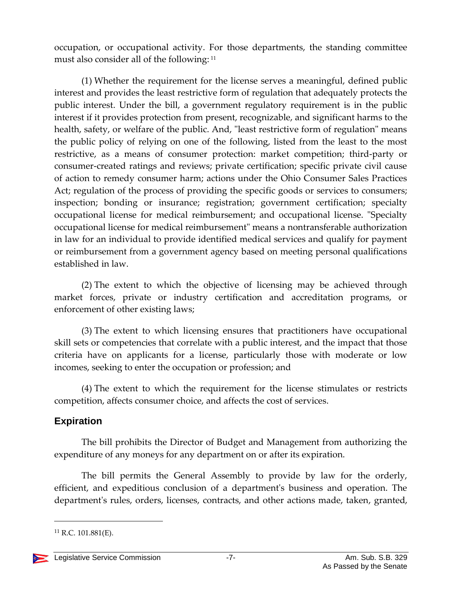occupation, or occupational activity. For those departments, the standing committee must also consider all of the following: <sup>11</sup>

(1) Whether the requirement for the license serves a meaningful, defined public interest and provides the least restrictive form of regulation that adequately protects the public interest. Under the bill, a government regulatory requirement is in the public interest if it provides protection from present, recognizable, and significant harms to the health, safety, or welfare of the public. And, "least restrictive form of regulation" means the public policy of relying on one of the following, listed from the least to the most restrictive, as a means of consumer protection: market competition; third-party or consumer-created ratings and reviews; private certification; specific private civil cause of action to remedy consumer harm; actions under the Ohio Consumer Sales Practices Act; regulation of the process of providing the specific goods or services to consumers; inspection; bonding or insurance; registration; government certification; specialty occupational license for medical reimbursement; and occupational license. "Specialty occupational license for medical reimbursement" means a nontransferable authorization in law for an individual to provide identified medical services and qualify for payment or reimbursement from a government agency based on meeting personal qualifications established in law.

(2) The extent to which the objective of licensing may be achieved through market forces, private or industry certification and accreditation programs, or enforcement of other existing laws;

(3) The extent to which licensing ensures that practitioners have occupational skill sets or competencies that correlate with a public interest, and the impact that those criteria have on applicants for a license, particularly those with moderate or low incomes, seeking to enter the occupation or profession; and

(4) The extent to which the requirement for the license stimulates or restricts competition, affects consumer choice, and affects the cost of services.

#### **Expiration**

The bill prohibits the Director of Budget and Management from authorizing the expenditure of any moneys for any department on or after its expiration.

The bill permits the General Assembly to provide by law for the orderly, efficient, and expeditious conclusion of a department's business and operation. The department's rules, orders, licenses, contracts, and other actions made, taken, granted,

 $^{11}$  R.C. 101.881(E).

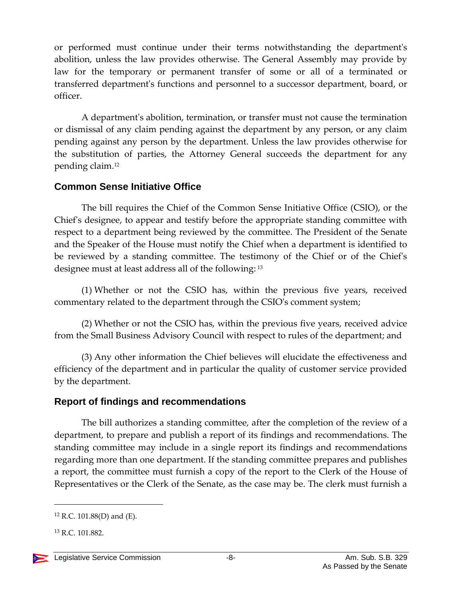or performed must continue under their terms notwithstanding the department's abolition, unless the law provides otherwise. The General Assembly may provide by law for the temporary or permanent transfer of some or all of a terminated or transferred department's functions and personnel to a successor department, board, or officer.

A department's abolition, termination, or transfer must not cause the termination or dismissal of any claim pending against the department by any person, or any claim pending against any person by the department. Unless the law provides otherwise for the substitution of parties, the Attorney General succeeds the department for any pending claim.<sup>12</sup>

#### **Common Sense Initiative Office**

The bill requires the Chief of the Common Sense Initiative Office (CSIO), or the Chief's designee, to appear and testify before the appropriate standing committee with respect to a department being reviewed by the committee. The President of the Senate and the Speaker of the House must notify the Chief when a department is identified to be reviewed by a standing committee. The testimony of the Chief or of the Chief's designee must at least address all of the following: <sup>13</sup>

(1) Whether or not the CSIO has, within the previous five years, received commentary related to the department through the CSIO's comment system;

(2) Whether or not the CSIO has, within the previous five years, received advice from the Small Business Advisory Council with respect to rules of the department; and

(3) Any other information the Chief believes will elucidate the effectiveness and efficiency of the department and in particular the quality of customer service provided by the department.

#### **Report of findings and recommendations**

The bill authorizes a standing committee, after the completion of the review of a department, to prepare and publish a report of its findings and recommendations. The standing committee may include in a single report its findings and recommendations regarding more than one department. If the standing committee prepares and publishes a report, the committee must furnish a copy of the report to the Clerk of the House of Representatives or the Clerk of the Senate, as the case may be. The clerk must furnish a

 $12$  R.C. 101.88(D) and (E).

<sup>13</sup> R.C. 101.882.